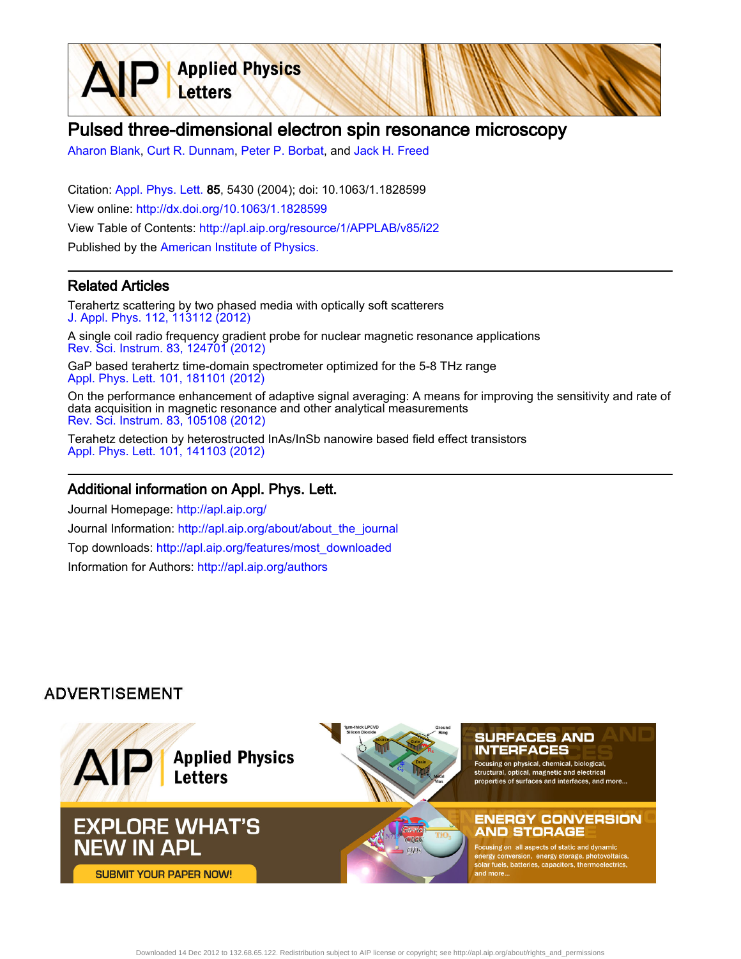Pulsed three-dimensional electron spin resonance microscopy

[Aharon Blank](http://apl.aip.org/search?sortby=newestdate&q=&searchzone=2&searchtype=searchin&faceted=faceted&key=AIP_ALL&possible1=Aharon Blank&possible1zone=author&alias=&displayid=AIP&ver=pdfcov), [Curt R. Dunnam,](http://apl.aip.org/search?sortby=newestdate&q=&searchzone=2&searchtype=searchin&faceted=faceted&key=AIP_ALL&possible1=Curt R. Dunnam&possible1zone=author&alias=&displayid=AIP&ver=pdfcov) [Peter P. Borbat,](http://apl.aip.org/search?sortby=newestdate&q=&searchzone=2&searchtype=searchin&faceted=faceted&key=AIP_ALL&possible1=Peter P. Borbat&possible1zone=author&alias=&displayid=AIP&ver=pdfcov) and [Jack H. Freed](http://apl.aip.org/search?sortby=newestdate&q=&searchzone=2&searchtype=searchin&faceted=faceted&key=AIP_ALL&possible1=Jack H. Freed&possible1zone=author&alias=&displayid=AIP&ver=pdfcov)

**Applied Physics** 

Letters

Citation: [Appl. Phys. Lett. 8](http://apl.aip.org/?ver=pdfcov)5, 5430 (2004); doi: 10.1063/1.1828599 View online: [http://dx.doi.org/10.1063/1.1828599](http://link.aip.org/link/doi/10.1063/1.1828599?ver=pdfcov) View Table of Contents: [http://apl.aip.org/resource/1/APPLAB/v85/i22](http://apl.aip.org/resource/1/APPLAB/v85/i22?ver=pdfcov) Published by the [American Institute of Physics.](http://www.aip.org/?ver=pdfcov)

## Related Articles

Terahertz scattering by two phased media with optically soft scatterers [J. Appl. Phys. 112, 113112 \(2012\)](http://link.aip.org/link/doi/10.1063/1.4768888?ver=pdfcov)

A single coil radio frequency gradient probe for nuclear magnetic resonance applications [Rev. Sci. Instrum. 83, 124701 \(2012\)](http://link.aip.org/link/doi/10.1063/1.4769054?ver=pdfcov)

GaP based terahertz time-domain spectrometer optimized for the 5-8 THz range [Appl. Phys. Lett. 101, 181101 \(2012\)](http://link.aip.org/link/doi/10.1063/1.4764545?ver=pdfcov)

On the performance enhancement of adaptive signal averaging: A means for improving the sensitivity and rate of data acquisition in magnetic resonance and other analytical measurements [Rev. Sci. Instrum. 83, 105108 \(2012\)](http://link.aip.org/link/doi/10.1063/1.4757869?ver=pdfcov)

Terahetz detection by heterostructed InAs/InSb nanowire based field effect transistors [Appl. Phys. Lett. 101, 141103 \(2012\)](http://link.aip.org/link/doi/10.1063/1.4757005?ver=pdfcov)

## Additional information on Appl. Phys. Lett.

Journal Homepage: [http://apl.aip.org/](http://apl.aip.org/?ver=pdfcov) Journal Information: [http://apl.aip.org/about/about\\_the\\_journal](http://apl.aip.org/about/about_the_journal?ver=pdfcov) Top downloads: [http://apl.aip.org/features/most\\_downloaded](http://apl.aip.org/features/most_downloaded?ver=pdfcov) Information for Authors: [http://apl.aip.org/authors](http://apl.aip.org/authors?ver=pdfcov)

## **ADVERTISEMENT**

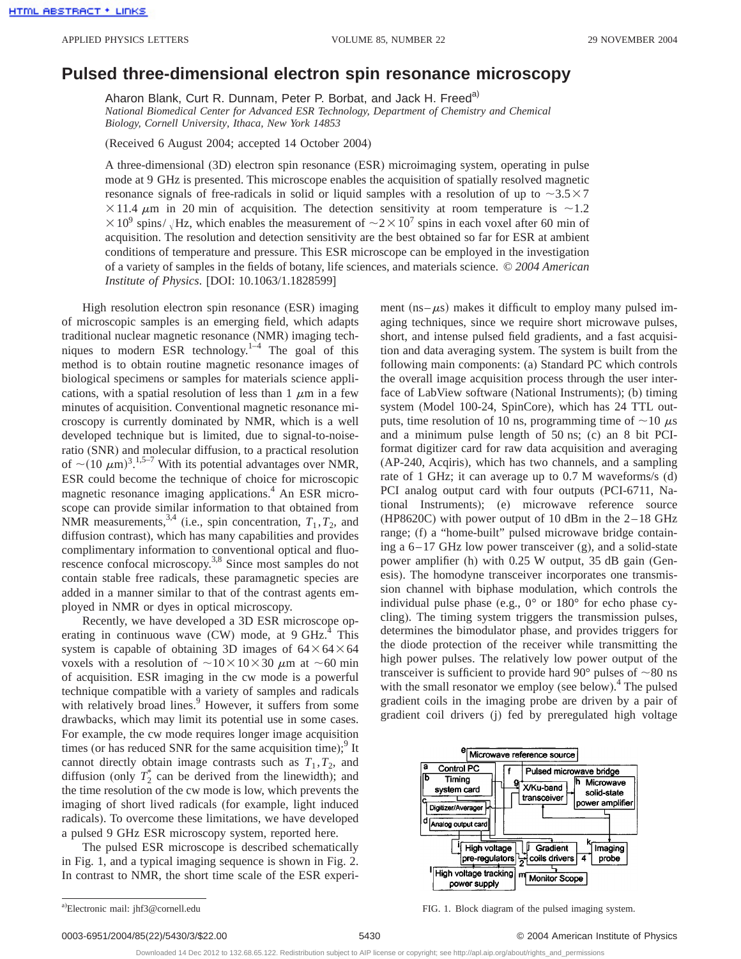## **Pulsed three-dimensional electron spin resonance microscopy**

Aharon Blank, Curt R. Dunnam, Peter P. Borbat, and Jack H. Freed<sup>a)</sup>

*National Biomedical Center for Advanced ESR Technology, Department of Chemistry and Chemical Biology, Cornell University, Ithaca, New York 14853*

(Received 6 August 2004; accepted 14 October 2004)

A three-dimensional (3D) electron spin resonance (ESR) microimaging system, operating in pulse mode at 9 GHz is presented. This microscope enables the acquisition of spatially resolved magnetic resonance signals of free-radicals in solid or liquid samples with a resolution of up to  $\sim 3.5 \times 7$  $\times$ 11.4  $\mu$ m in 20 min of acquisition. The detection sensitivity at room temperature is  $\sim$ 1.2  $\times$ 10<sup>9</sup> spins/ Hz, which enables the measurement of  $\sim$ 2 $\times$ 10<sup>7</sup> spins in each voxel after 60 min of acquisition. The resolution and detection sensitivity are the best obtained so far for ESR at ambient conditions of temperature and pressure. This ESR microscope can be employed in the investigation of a variety of samples in the fields of botany, life sciences, and materials science. © *2004 American Institute of Physics*. [DOI: 10.1063/1.1828599]

High resolution electron spin resonance (ESR) imaging of microscopic samples is an emerging field, which adapts traditional nuclear magnetic resonance (NMR) imaging techniques to modern ESR technology. $1-4$  The goal of this method is to obtain routine magnetic resonance images of biological specimens or samples for materials science applications, with a spatial resolution of less than  $1 \mu m$  in a few minutes of acquisition. Conventional magnetic resonance microscopy is currently dominated by NMR, which is a well developed technique but is limited, due to signal-to-noiseratio (SNR) and molecular diffusion, to a practical resolution of  $\sim$ (10  $\mu$ m)<sup>3</sup>.<sup>1,5–7</sup> With its potential advantages over NMR, ESR could become the technique of choice for microscopic magnetic resonance imaging applications.<sup>4</sup> An ESR microscope can provide similar information to that obtained from NMR measurements,<sup>3,4</sup> (i.e., spin concentration,  $T_1, T_2$ , and diffusion contrast), which has many capabilities and provides complimentary information to conventional optical and fluorescence confocal microscopy.<sup>3,8</sup> Since most samples do not contain stable free radicals, these paramagnetic species are added in a manner similar to that of the contrast agents employed in NMR or dyes in optical microscopy.

Recently, we have developed a 3D ESR microscope operating in continuous wave  $(CW)$  mode, at 9 GHz. $4$  This system is capable of obtaining 3D images of  $64 \times 64 \times 64$ voxels with a resolution of  $\sim$ 10×10×30  $\mu$ m at  $\sim$ 60 min of acquisition. ESR imaging in the cw mode is a powerful technique compatible with a variety of samples and radicals with relatively broad lines.<sup>9</sup> However, it suffers from some drawbacks, which may limit its potential use in some cases. For example, the cw mode requires longer image acquisition times (or has reduced SNR for the same acquisition time);<sup>9</sup> It cannot directly obtain image contrasts such as  $T_1, T_2$ , and diffusion (only  $T_2^*$  can be derived from the linewidth); and the time resolution of the cw mode is low, which prevents the imaging of short lived radicals (for example, light induced radicals). To overcome these limitations, we have developed a pulsed 9 GHz ESR microscopy system, reported here.

The pulsed ESR microscope is described schematically in Fig. 1, and a typical imaging sequence is shown in Fig. 2. In contrast to NMR, the short time scale of the ESR experiment ( $ns-\mu s$ ) makes it difficult to employ many pulsed imaging techniques, since we require short microwave pulses, short, and intense pulsed field gradients, and a fast acquisition and data averaging system. The system is built from the following main components: (a) Standard PC which controls the overall image acquisition process through the user interface of LabView software (National Instruments); (b) timing system (Model 100-24, SpinCore), which has 24 TTL outputs, time resolution of 10 ns, programming time of  $\sim$ 10  $\mu$ s and a minimum pulse length of 50 ns; (c) an 8 bit PCIformat digitizer card for raw data acquisition and averaging (AP-240, Acqiris), which has two channels, and a sampling rate of 1 GHz; it can average up to 0.7 M waveforms/s (d) PCI analog output card with four outputs (PCI-6711, National Instruments); (e) microwave reference source (HP8620C) with power output of 10 dBm in the 2–18 GHz range; (f) a "home-built" pulsed microwave bridge containing a 6–17 GHz low power transceiver (g), and a solid-state power amplifier (h) with 0.25 W output, 35 dB gain (Genesis). The homodyne transceiver incorporates one transmission channel with biphase modulation, which controls the individual pulse phase (e.g., 0° or 180° for echo phase cycling). The timing system triggers the transmission pulses, determines the bimodulator phase, and provides triggers for the diode protection of the receiver while transmitting the high power pulses. The relatively low power output of the transceiver is sufficient to provide hard 90 $^{\circ}$  pulses of  $\sim$ 80 ns with the small resonator we employ (see below).<sup>4</sup> The pulsed gradient coils in the imaging probe are driven by a pair of gradient coil drivers (j) fed by preregulated high voltage



FIG. 1. Block diagram of the pulsed imaging system.

a)Electronic mail: jhf3@cornell.edu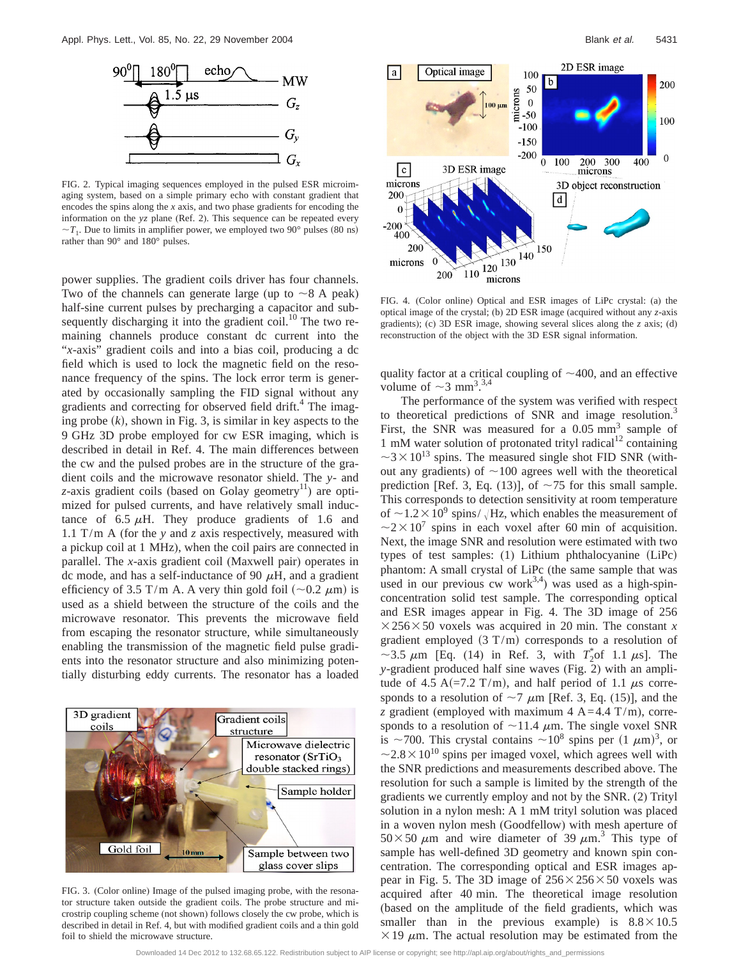

FIG. 2. Typical imaging sequences employed in the pulsed ESR microimaging system, based on a simple primary echo with constant gradient that encodes the spins along the *x* axis, and two phase gradients for encoding the information on the *yz* plane (Ref. 2). This sequence can be repeated every  $\sim T_1$ . Due to limits in amplifier power, we employed two 90° pulses (80 ns) rather than 90° and 180° pulses.

power supplies. The gradient coils driver has four channels. Two of the channels can generate large (up to  $\sim$  8 A peak) half-sine current pulses by precharging a capacitor and subsequently discharging it into the gradient coil. $^{10}$  The two remaining channels produce constant dc current into the "*x*-axis" gradient coils and into a bias coil, producing a dc field which is used to lock the magnetic field on the resonance frequency of the spins. The lock error term is generated by occasionally sampling the FID signal without any gradients and correcting for observed field drift.<sup>4</sup> The imaging probe  $(k)$ , shown in Fig. 3, is similar in key aspects to the 9 GHz 3D probe employed for cw ESR imaging, which is described in detail in Ref. 4. The main differences between the cw and the pulsed probes are in the structure of the gradient coils and the microwave resonator shield. The *y*- and  $z$ -axis gradient coils (based on Golay geometry<sup>11</sup>) are optimized for pulsed currents, and have relatively small inductance of 6.5  $\mu$ H. They produce gradients of 1.6 and 1.1 T/m A (for the *y* and *z* axis respectively, measured with a pickup coil at 1 MHz), when the coil pairs are connected in parallel. The *x*-axis gradient coil (Maxwell pair) operates in dc mode, and has a self-inductance of 90  $\mu$ H, and a gradient efficiency of 3.5 T/m A. A very thin gold foil ( $\sim$ 0.2  $\mu$ m) is used as a shield between the structure of the coils and the microwave resonator. This prevents the microwave field from escaping the resonator structure, while simultaneously enabling the transmission of the magnetic field pulse gradients into the resonator structure and also minimizing potentially disturbing eddy currents. The resonator has a loaded



FIG. 3. (Color online) Image of the pulsed imaging probe, with the resonator structure taken outside the gradient coils. The probe structure and microstrip coupling scheme (not shown) follows closely the cw probe, which is described in detail in Ref. 4, but with modified gradient coils and a thin gold foil to shield the microwave structure.



FIG. 4. (Color online) Optical and ESR images of LiPc crystal: (a) the optical image of the crystal; (b) 2D ESR image (acquired without any *z*-axis gradients); (c) 3D ESR image, showing several slices along the *z* axis; (d) reconstruction of the object with the 3D ESR signal information.

quality factor at a critical coupling of  $\sim$ 400, and an effective volume of  $\sim$  3 mm<sup>3</sup>.<sup>3,4</sup>

The performance of the system was verified with respect to theoretical predictions of SNR and image resolution.<sup>3</sup> First, the SNR was measured for a  $0.05$  mm<sup>3</sup> sample of 1 mM water solution of protonated trityl radical<sup>12</sup> containing  $\sim$ 3 $\times$ 10<sup>13</sup> spins. The measured single shot FID SNR (without any gradients) of  $\sim$ 100 agrees well with the theoretical prediction [Ref. 3, Eq. (13)], of  $\sim$  75 for this small sample. This corresponds to detection sensitivity at room temperature of  $\sim$ 1.2 × 10<sup>9</sup> spins/  $\sqrt{Hz}$ , which enables the measurement of  $\sim$ 2 $\times$ 10<sup>7</sup> spins in each voxel after 60 min of acquisition. Next, the image SNR and resolution were estimated with two types of test samples:  $(1)$  Lithium phthalocyanine  $(LiPc)$ phantom: A small crystal of LiPc (the same sample that was used in our previous cw work<sup>3,4</sup>) was used as a high-spinconcentration solid test sample. The corresponding optical and ESR images appear in Fig. 4. The 3D image of 256  $\times$  256 $\times$ 50 voxels was acquired in 20 min. The constant *x* gradient employed  $(3 T/m)$  corresponds to a resolution of  $\sim$ 3.5  $\mu$ m [Eq. (14) in Ref. 3, with  $T_2^*$  of 1.1  $\mu$ s]. The *y*-gradient produced half sine waves (Fig. 2) with an amplitude of 4.5 A(=7.2 T/m), and half period of 1.1  $\mu$ s corresponds to a resolution of  $\sim$ 7  $\mu$ m [Ref. 3, Eq. (15)], and the *z* gradient (employed with maximum 4  $A = 4.4$  T/m), corresponds to a resolution of  $\sim$ 11.4  $\mu$ m. The single voxel SNR is ~700. This crystal contains ~10<sup>8</sup> spins per  $(1 \mu m)^3$ , or  $\sim$ 2.8  $\times$  10<sup>10</sup> spins per imaged voxel, which agrees well with the SNR predictions and measurements described above. The resolution for such a sample is limited by the strength of the gradients we currently employ and not by the SNR. (2) Trityl solution in a nylon mesh: A 1 mM trityl solution was placed in a woven nylon mesh (Goodfellow) with mesh aperture of  $50 \times 50 \mu m$  and wire diameter of 39  $\mu$ m.<sup>3</sup> This type of sample has well-defined 3D geometry and known spin concentration. The corresponding optical and ESR images appear in Fig. 5. The 3D image of  $256 \times 256 \times 50$  voxels was acquired after 40 min. The theoretical image resolution (based on the amplitude of the field gradients, which was smaller than in the previous example) is  $8.8 \times 10.5$  $\times$  19  $\mu$ m. The actual resolution may be estimated from the